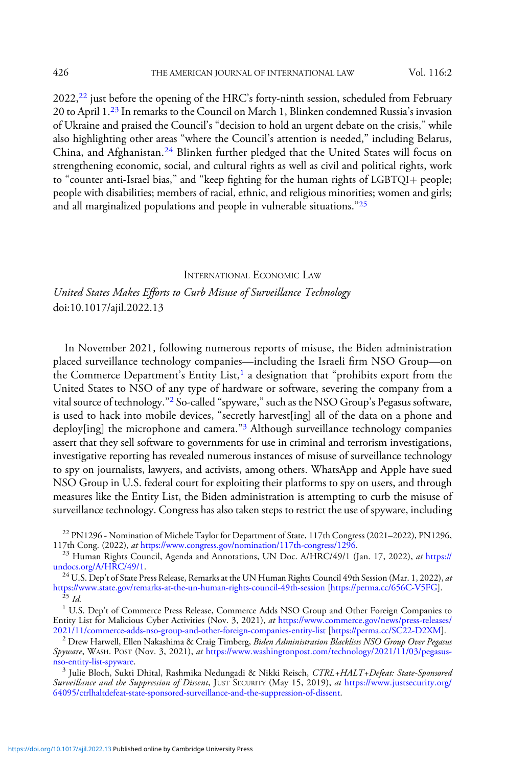$2022<sup>22</sup>$  just before the opening of the HRC's forty-ninth session, scheduled from February 20 to April 1.<sup>23</sup> In remarks to the Council on March 1, Blinken condemned Russia's invasion of Ukraine and praised the Council's "decision to hold an urgent debate on the crisis," while also highlighting other areas "where the Council's attention is needed," including Belarus, China, and Afghanistan.<sup>24</sup> Blinken further pledged that the United States will focus on strengthening economic, social, and cultural rights as well as civil and political rights, work to "counter anti-Israel bias," and "keep fighting for the human rights of LGBTQI+ people; people with disabilities; members of racial, ethnic, and religious minorities; women and girls; and all marginalized populations and people in vulnerable situations."<sup>25</sup>

## INTERNATIONAL ECONOMIC LAW

United States Makes Efforts to Curb Misuse of Surveillance Technology doi:10.1017/ajil.2022.13

In November 2021, following numerous reports of misuse, the Biden administration placed surveillance technology companies—including the Israeli firm NSO Group—on the Commerce Department's Entity List, $<sup>1</sup>$  a designation that "prohibits export from the</sup> United States to NSO of any type of hardware or software, severing the company from a vital source of technology."<sup>2</sup> So-called "spyware,"such as the NSO Group's Pegasus software, is used to hack into mobile devices, "secretly harvest[ing] all of the data on a phone and deploy[ing] the microphone and camera."<sup>3</sup> Although surveillance technology companies assert that they sell software to governments for use in criminal and terrorism investigations, investigative reporting has revealed numerous instances of misuse of surveillance technology to spy on journalists, lawyers, and activists, among others. WhatsApp and Apple have sued NSO Group in U.S. federal court for exploiting their platforms to spy on users, and through measures like the Entity List, the Biden administration is attempting to curb the misuse of surveillance technology. Congress has also taken steps to restrict the use of spyware, including

<sup>22</sup> PN1296 - Nomination of Michele Taylor for Department of State, 117th Congress (2021–2022), PN1296, 117th Cong. (2022), *at* https://www.congress.gov/nomination/117th-congress/1296.

<sup>23</sup> Human Rights Council, Agenda and Annotations, UN Doc. A/HRC/49/1 (Jan. 17, 2022), *at* [https://](https://undocs.org/A/HRC/49/1)<br>undocs.org/A/HRC/49/1.

<sup>24</sup> U.S. Dep't of State Press Release, Remarks at the UN Human Rights Council 49th Session (Mar. 1, 2022), *at* <https://www.state.gov/remarks-at-the-un-human-rights-council-49th-session> [\[https://perma.cc/656C-V5FG\]](https://perma.cc/656C-V5FG).<br><sup>25</sup> Id. 1 U.S. Dep't of Commerce Press Release, Commerce Adds NSO Group and Other Foreign Companies to

Entity List for Malicious Cyber Activities (Nov. 3, 2021), at [https://www.commerce.gov/news/press-releases/](https://www.commerce.gov/news/press-releases/2021/11/commerce-adds-nso-group-and-other-foreign-companies-entity-list)<br>2021/11/commerce-adds-nso-group-and-other-foreign-companies-entity-list [https://perma.cc/SC22-D2XM].

 $^2$  Drew Harwell, Ellen Nakashima & Craig Timberg, Biden Administration Blacklists NSO Group Over Pegasus Spyware, WASH. POST (Nov. 3, 2021), at https://www.washingtonpost.com/technology/2021/11/03/pegasus-nso-entity-list-spyware.

<sup>3</sup> Julie Bloch, Sukti Dhital, Rashmika Nedungadi & Nikki Reisch, CTRL+HALT+Defeat: State-Sponsored Surveillance and the Suppression of Dissent, JUST SECURITY (May 15, 2019), at [https://www.justsecurity.org/](https://www.justsecurity.org/64095/ctrlhaltdefeat-state-sponsored-surveillance-and-the-suppression-of-dissent/) [64095/ctrlhaltdefeat-state-sponsored-surveillance-and-the-suppression-of-dissent](https://www.justsecurity.org/64095/ctrlhaltdefeat-state-sponsored-surveillance-and-the-suppression-of-dissent/).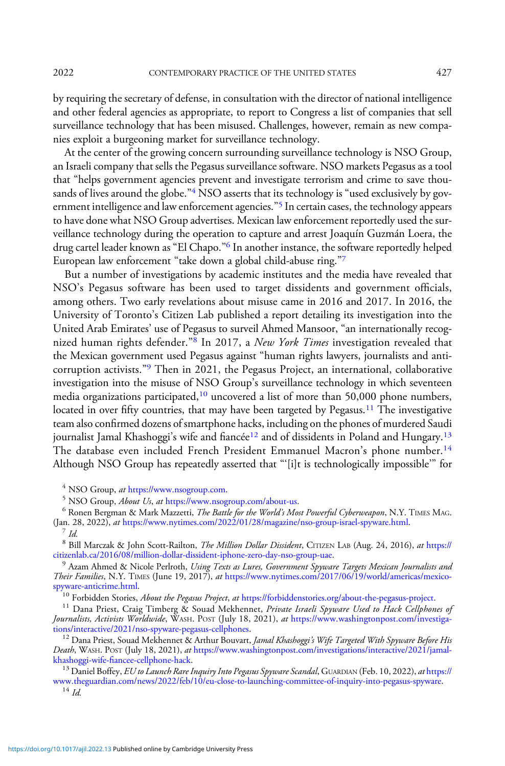by requiring the secretary of defense, in consultation with the director of national intelligence and other federal agencies as appropriate, to report to Congress a list of companies that sell surveillance technology that has been misused. Challenges, however, remain as new companies exploit a burgeoning market for surveillance technology.

At the center of the growing concern surrounding surveillance technology is NSO Group, an Israeli company that sells the Pegasus surveillance software. NSO markets Pegasus as a tool that "helps government agencies prevent and investigate terrorism and crime to save thousands of lives around the globe."<sup>4</sup> NSO asserts that its technology is "used exclusively by government intelligence and law enforcement agencies."<sup>5</sup> In certain cases, the technology appears to have done what NSO Group advertises. Mexican law enforcement reportedly used the surveillance technology during the operation to capture and arrest Joaquín Guzmán Loera, the drug cartel leader known as "El Chapo."<sup>6</sup> In another instance, the software reportedly helped European law enforcement "take down a global child-abuse ring."7

But a number of investigations by academic institutes and the media have revealed that NSO's Pegasus software has been used to target dissidents and government officials, among others. Two early revelations about misuse came in 2016 and 2017. In 2016, the University of Toronto's Citizen Lab published a report detailing its investigation into the United Arab Emirates' use of Pegasus to surveil Ahmed Mansoor, "an internationally recognized human rights defender."<sup>8</sup> In 2017, a New York Times investigation revealed that the Mexican government used Pegasus against "human rights lawyers, journalists and anticorruption activists."<sup>9</sup> Then in 2021, the Pegasus Project, an international, collaborative investigation into the misuse of NSO Group's surveillance technology in which seventeen media organizations participated,<sup>10</sup> uncovered a list of more than 50,000 phone numbers, located in over fifty countries, that may have been targeted by Pegasus.<sup>11</sup> The investigative team also confirmed dozens of smartphone hacks, including on the phones of murdered Saudi journalist Jamal Khashoggi's wife and fiancée<sup>12</sup> and of dissidents in Poland and Hungary.<sup>13</sup> The database even included French President Emmanuel Macron's phone number.<sup>14</sup> Although NSO Group has repeatedly asserted that "'[i]t is technologically impossible'" for

<sup>4</sup> NSO Group, *at [https://www.nsogroup.com](https://www.nsogroup.com/).*<br><sup>5</sup> NSO Group, *About Us, at [https://www.nsogroup.com/about-us.](https://www.nsogroup.com/about-us/)*<br><sup>6</sup> Ronen Bergman & Mark Mazzetti, *The Battle for the World's Most Powerful Cyberweapon,* N.Y. TIMES MAG. (Jan. 28, 2022), *at* [https://www.nytimes.com/2022/01/28/magazine/nso-group-israel-spyware.html.](https://www.nytimes.com/2022/01/28/magazine/nso-group-israel-spyware.html) <sup>7</sup> Id.

<sup>8</sup> Bill Marczak & John Scott-Railton, *The Million Dollar Dissident*, CITIZEN LAB (Aug. 24, 2016), *at* [https://](https://citizenlab.ca/2016/08/million-dollar-dissident-iphone-zero-day-nso-group-uae/)<br>citizenlab.ca/2016/08/million-dollar-dissident-iphone-zero-day-nso-group-uae. [citizenlab.ca/2016/08/million-dollar-dissident-iphone-zero-day-nso-group-uae.](https://citizenlab.ca/2016/08/million-dollar-dissident-iphone-zero-day-nso-group-uae/)<br><sup>9</sup> Azam Ahmed & Nicole Perlroth, *Using Texts as Lures, Government Spyware Targets Mexican Journalists and* 

Their Families, N.Y. TIMES (June 19, 2017), at [https://www.nytimes.com/2017/06/19/world/americas/mexico](https://www.nytimes.com/2017/06/19/world/americas/mexico-spyware-anticrime.html)[spyware-anticrime.html](https://www.nytimes.com/2017/06/19/world/americas/mexico-spyware-anticrime.html).<br><sup>10</sup> Forbidden Stories, *About the Pegasus Project, at* [https://forbiddenstories.org/about-the-pegasus-project](https://forbiddenstories.org/about-the-pegasus-project/).<br><sup>11</sup> Dana Priest, Craig Timberg & Souad Mekhennet, *Private Israeli Spyware Used to Ha* 

Journalists, Activists Worldwide, WASH. POST (July 18, 2021), at https://www.washingtonpost.com/investiga-<br>tions/interactive/2021/nso-spyware-pegasus-cellphones.

<sup>12</sup> Dana Priest, Souad Mekhennet & Arthur Bouvart, Jamal Khashoggi's Wife Targeted With Spyware Before His Death, WASH. POST (July 18, 2021), at https://www.washingtonpost.com/investigations/interactive/2021/jamal-khashoggi-wife-fiancee-cellphone-hack.

<sup>13</sup> Daniel Boffey, EU to Launch Rare Inquiry Into Pegasus Spyware Scandal, GUARDIAN (Feb. 10, 2022), at [https://](https://www.theguardian.com/news/2022/feb/10/eu-close-to-launching-committee-of-inquiry-into-pegasus-spyware) [www.theguardian.com/news/2022/feb/10/eu-close-to-launching-committee-of-inquiry-into-pegasus-spyware.](https://www.theguardian.com/news/2022/feb/10/eu-close-to-launching-committee-of-inquiry-into-pegasus-spyware)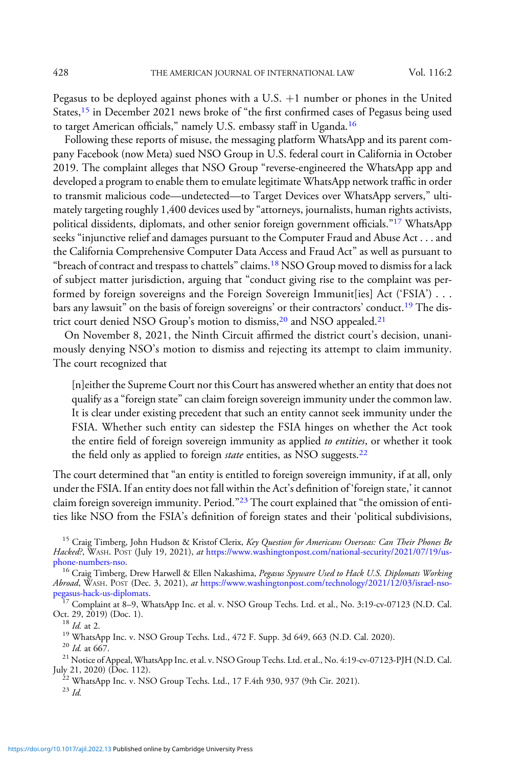Pegasus to be deployed against phones with a U.S.  $+1$  number or phones in the United States,<sup>15</sup> in December 2021 news broke of "the first confirmed cases of Pegasus being used to target American officials," namely U.S. embassy staff in Uganda.<sup>16</sup>

Following these reports of misuse, the messaging platform WhatsApp and its parent company Facebook (now Meta) sued NSO Group in U.S. federal court in California in October 2019. The complaint alleges that NSO Group "reverse-engineered the WhatsApp app and developed a program to enable them to emulate legitimate WhatsApp network traffic in order to transmit malicious code—undetected—to Target Devices over WhatsApp servers," ultimately targeting roughly 1,400 devices used by "attorneys, journalists, human rights activists, political dissidents, diplomats, and other senior foreign government officials."<sup>17</sup> WhatsApp seeks "injunctive relief and damages pursuant to the Computer Fraud and Abuse Act . . . and the California Comprehensive Computer Data Access and Fraud Act" as well as pursuant to "breach of contract and trespass to chattels" claims.<sup>18</sup> NSO Group moved to dismiss for a lack of subject matter jurisdiction, arguing that "conduct giving rise to the complaint was performed by foreign sovereigns and the Foreign Sovereign Immunit[ies] Act ('FSIA') ... bars any lawsuit" on the basis of foreign sovereigns' or their contractors' conduct.19 The district court denied NSO Group's motion to dismiss,<sup>20</sup> and NSO appealed.<sup>21</sup>

On November 8, 2021, the Ninth Circuit affirmed the district court's decision, unanimously denying NSO's motion to dismiss and rejecting its attempt to claim immunity. The court recognized that

[n]either the Supreme Court nor this Court has answered whether an entity that does not qualify as a "foreign state" can claim foreign sovereign immunity under the common law. It is clear under existing precedent that such an entity cannot seek immunity under the FSIA. Whether such entity can sidestep the FSIA hinges on whether the Act took the entire field of foreign sovereign immunity as applied to entities, or whether it took the field only as applied to foreign *state* entities, as NSO suggests.<sup>22</sup>

The court determined that "an entity is entitled to foreign sovereign immunity, if at all, only under the FSIA. If an entity does not fall within the Act's definition of 'foreign state,' it cannot claim foreign sovereign immunity. Period."<sup>23</sup> The court explained that "the omission of entities like NSO from the FSIA's definition of foreign states and their 'political subdivisions,

<sup>15</sup> Craig Timberg, John Hudson & Kristof Clerix, Key Question for Americans Overseas: Can Their Phones Be Hacked?, WASH. POST (July 19, 2021), at https://www.washingtonpost.com/national-security/2021/07/19/us-<br>phone-numbers-nso.

<sup>16</sup> Craig Timberg, Drew Harwell & Ellen Nakashima, Pegasus Spyware Used to Hack U.S. Diplomats Working Abroad, WASH. POST (Dec. 3, 2021), at https://www.washingtonpost.com/technology/2021/12/03/israel-nso-<br>pegasus-hack-us-diplomats.

 $\frac{17}{17}$  Complaint at 8–9, WhatsApp Inc. et al. v. NSO Group Techs. Ltd. et al., No. 3:19-cv-07123 (N.D. Cal. Oct. 29, 2019) (Doc. 1).

<sup>18</sup> *Id.* at 2.<br><sup>19</sup> WhatsApp Inc. v. NSO Group Techs. Ltd., 472 F. Supp. 3d 649, 663 (N.D. Cal. 2020).<br><sup>20</sup> *Id.* at 667.<br><sup>21</sup> Notice of Appeal, WhatsApp Inc. et al. v. NSO Group Techs. Ltd. et al., No. 4:19-cv-07123-PJ

<sup>22</sup> WhatsApp Inc. v. NSO Group Techs. Ltd., 17 F.4th 930, 937 (9th Cir. 2021). <sup>23</sup> Id.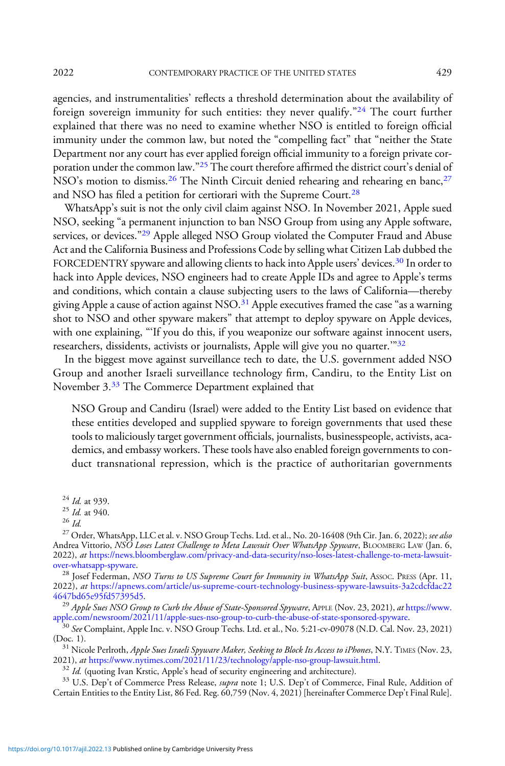agencies, and instrumentalities' reflects a threshold determination about the availability of foreign sovereign immunity for such entities: they never qualify."<sup>24</sup> The court further explained that there was no need to examine whether NSO is entitled to foreign official immunity under the common law, but noted the "compelling fact" that "neither the State Department nor any court has ever applied foreign official immunity to a foreign private corporation under the common law."<sup>25</sup> The court therefore affirmed the district court's denial of NSO's motion to dismiss.<sup>26</sup> The Ninth Circuit denied rehearing and rehearing en banc,<sup>27</sup> and NSO has filed a petition for certiorari with the Supreme Court.<sup>28</sup>

WhatsApp's suit is not the only civil claim against NSO. In November 2021, Apple sued NSO, seeking "a permanent injunction to ban NSO Group from using any Apple software, services, or devices."<sup>29</sup> Apple alleged NSO Group violated the Computer Fraud and Abuse Act and the California Business and Professions Code by selling what Citizen Lab dubbed the FORCEDENTRY spyware and allowing clients to hack into Apple users' devices.<sup>30</sup> In order to hack into Apple devices, NSO engineers had to create Apple IDs and agree to Apple's terms and conditions, which contain a clause subjecting users to the laws of California—thereby giving Apple a cause of action against NSO. $31$  Apple executives framed the case "as a warning shot to NSO and other spyware makers" that attempt to deploy spyware on Apple devices, with one explaining, "'If you do this, if you weaponize our software against innocent users, researchers, dissidents, activists or journalists, Apple will give you no quarter.<sup>392</sup>

In the biggest move against surveillance tech to date, the U.S. government added NSO Group and another Israeli surveillance technology firm, Candiru, to the Entity List on November 3.<sup>33</sup> The Commerce Department explained that

NSO Group and Candiru (Israel) were added to the Entity List based on evidence that these entities developed and supplied spyware to foreign governments that used these tools to maliciously target government officials, journalists, businesspeople, activists, academics, and embassy workers. These tools have also enabled foreign governments to conduct transnational repression, which is the practice of authoritarian governments

2022), at [https://apnews.com/article/us-supreme-court-technology-business-spyware-lawsuits-3a2cdcfdac22](https://apnews.com/article/us-supreme-court-technology-business-spyware-lawsuits-3a2cdcfdac224647bd65e95fd57395d5)

<sup>29</sup> Apple Sues NSO Group to Curb the Abuse of State-Sponsored Spyware, APPLE (Nov. 23, 2021), at [https://www.](https://www.apple.com/newsroom/2021/11/apple-sues-nso-group-to-curb-the-abuse-of-state-sponsored-spyware/)

[apple.com/newsroom/2021/11/apple-sues-nso-group-to-curb-the-abuse-of-state-sponsored-spyware.](https://www.apple.com/newsroom/2021/11/apple-sues-nso-group-to-curb-the-abuse-of-state-sponsored-spyware/)<br><sup>30</sup> See Complaint, Apple Inc. v. NSO Group Techs. Ltd. et al., No. 5:21-cv-09078 (N.D. Cal. Nov. 23, 2021)<br>(Doc. 1).

<sup>31</sup> Nicole Perlroth, *Apple Sues Israeli Spyware Maker, Seeking to Block Its Access to iPhones*, N.Y. TIMES (Nov. 23, 2021), *at* https://www.nytimes.com/2021/11/23/technology/apple-nso-group-lawsuit.html.

<sup>32</sup> Id. (quoting Ivan Krstic, Apple's head of security engineering and architecture).<br><sup>33</sup> U.S. Dep't of Commerce Press Release, *supra* note 1; U.S. Dep't of Commerce, Final Rule, Addition of Certain Entities to the Entity List, 86 Fed. Reg. 60,759 (Nov. 4, 2021) [hereinafter Commerce Dep't Final Rule].

<sup>&</sup>lt;sup>24</sup> *Id.* at 939.<br><sup>25</sup> *Id.* at 940.<br><sup>26</sup> Id. 26 Id. 28 Id. 28 Det al. v. NSO Group Techs. Ltd. et al., No. 20-16408 (9th Cir. Jan. 6, 2022); *see also* Andrea Vittorio, NSO Loses Latest Challenge to Meta Lawsuit Over WhatsApp Spyware, BLOOMBERG LAW (Jan. 6, 2022), at [https://news.bloomberglaw.com/privacy-and-data-security/nso-loses-latest-challenge-to-meta-lawsuit](https://news.bloomberglaw.com/privacy-and-data-security/nso-loses-latest-challenge-to-meta-lawsuit-over-whatsapp-spyware)[over-whatsapp-spyware.](https://news.bloomberglaw.com/privacy-and-data-security/nso-loses-latest-challenge-to-meta-lawsuit-over-whatsapp-spyware)<br><sup>28</sup> Josef Federman, *NSO Turns to US Supreme Court for Immunity in WhatsApp Suit, Assoc. Press (Apr. 11,*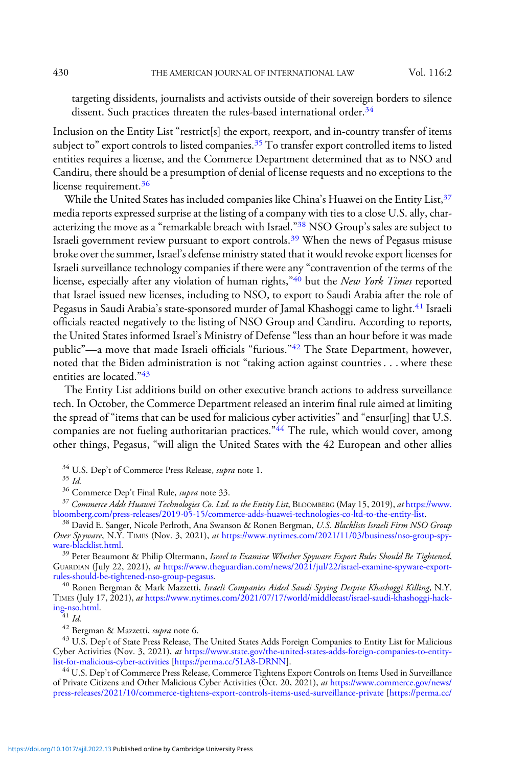targeting dissidents, journalists and activists outside of their sovereign borders to silence dissent. Such practices threaten the rules-based international order.<sup>34</sup>

Inclusion on the Entity List "restrict[s] the export, reexport, and in-country transfer of items subject to" export controls to listed companies.<sup>35</sup> To transfer export controlled items to listed entities requires a license, and the Commerce Department determined that as to NSO and Candiru, there should be a presumption of denial of license requests and no exceptions to the license requirement.<sup>36</sup>

While the United States has included companies like China's Huawei on the Entity List, <sup>37</sup> media reports expressed surprise at the listing of a company with ties to a close U.S. ally, characterizing the move as a "remarkable breach with Israel."<sup>38</sup> NSO Group's sales are subject to Israeli government review pursuant to export controls.<sup>39</sup> When the news of Pegasus misuse broke over the summer, Israel's defense ministry stated that it would revoke export licenses for Israeli surveillance technology companies if there were any "contravention of the terms of the license, especially after any violation of human rights,"<sup>40</sup> but the New York Times reported that Israel issued new licenses, including to NSO, to export to Saudi Arabia after the role of Pegasus in Saudi Arabia's state-sponsored murder of Jamal Khashoggi came to light.<sup>41</sup> Israeli officials reacted negatively to the listing of NSO Group and Candiru. According to reports, the United States informed Israel's Ministry of Defense "less than an hour before it was made public"—a move that made Israeli officials "furious."<sup>42</sup> The State Department, however, noted that the Biden administration is not "taking action against countries . . . where these entities are located."<sup>43</sup>

The Entity List additions build on other executive branch actions to address surveillance tech. In October, the Commerce Department released an interim final rule aimed at limiting the spread of "items that can be used for malicious cyber activities" and "ensur[ing] that U.S. companies are not fueling authoritarian practices."<sup>44</sup> The rule, which would cover, among other things, Pegasus, "will align the United States with the 42 European and other allies

<sup>34</sup> U.S. Dep't of Commerce Press Release, *supra* note 1.<br><sup>35</sup> Id. 36 Commerce Dep't Final Rule, *supra* note 33.<br><sup>37</sup> Commerce Adds Huawei Technologies Co. Ltd. to the Entity List, BLOOMBERG (May 15, 2019), at https://w

<sup>38</sup> David E. Sanger, Nicole Perlroth, Ana Swanson & Ronen Bergman, U.S. Blacklists Israeli Firm NSO Group Over Spyware, N.Y. TIMES (Nov. 3, 2021), at https://www.nytimes.com/2021/11/03/business/nso-group-spy-ware-blacklist.html.

<sup>39</sup> Peter Beaumont & Philip Oltermann, Israel to Examine Whether Spyware Export Rules Should Be Tightened, GUARDIAN (July 22, 2021), at https://www.theguardian.com/news/2021/jul/22/israel-examine-spyware-export-<br>rules-should-be-tightened-nso-group-pegasus.

<sup>40</sup> Ronen Bergman & Mark Mazzetti, *Israeli Companies Aided Saudi Spying Despite Khashoggi Killing*, N.Y. TIMES (July 17, 2021), *at* https://www.nytimes.com/2021/07/17/world/middleeast/israel-saudi-khashoggi-hack-<br>ing-nso.html.<br> $\frac{q_1}{4}$  *Id.* 

 $42$  Bergman & Mazzetti, supra note 6.

<sup>43</sup> U.S. Dep't of State Press Release, The United States Adds Foreign Companies to Entity List for Malicious Cyber Activities (Nov. 3, 2021), at https://www.state.gov/the-united-states-adds-foreign-companies-to-entity-<br>list-for-malicious-cyber-activities [https://perma.cc/5LA8-DRNN].

<sup>44</sup> U.S. Dep't of Commerce Press Release, Commerce Tightens Export Controls on Items Used in Surveillance of Private Citizens and Other Malicious Cyber Activities (Oct. 20, 2021), at [https://www.commerce.gov/news/](https://www.commerce.gov/news/press-releases/2021/10/commerce-tightens-export-controls-items-used-surveillance-private) [press-releases/2021/10/commerce-tightens-export-controls-items-used-surveillance-private](https://www.commerce.gov/news/press-releases/2021/10/commerce-tightens-export-controls-items-used-surveillance-private) [[https://perma.cc/](https://perma.cc/W7L5-HAEH)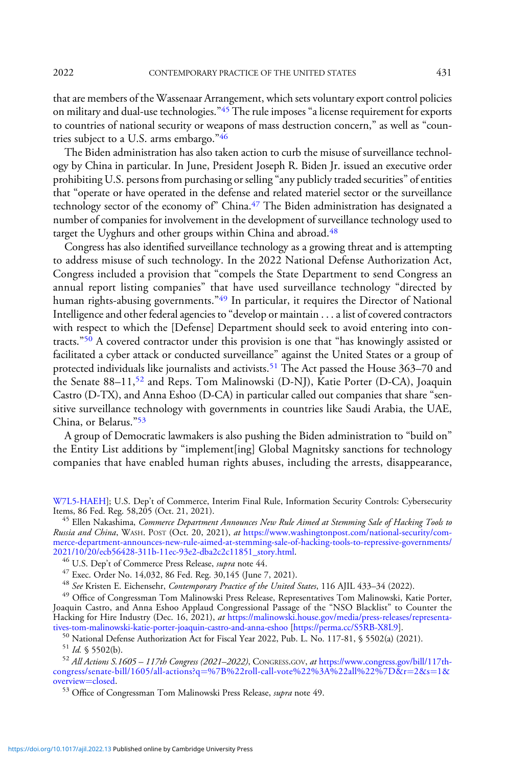that are members of the Wassenaar Arrangement, which sets voluntary export control policies on military and dual-use technologies."<sup>45</sup> The rule imposes "a license requirement for exports to countries of national security or weapons of mass destruction concern," as well as "countries subject to a U.S. arms embargo."<sup>46</sup>

The Biden administration has also taken action to curb the misuse of surveillance technology by China in particular. In June, President Joseph R. Biden Jr. issued an executive order prohibiting U.S. persons from purchasing or selling "any publicly traded securities" of entities that "operate or have operated in the defense and related materiel sector or the surveillance technology sector of the economy of" China.<sup>47</sup> The Biden administration has designated a number of companies for involvement in the development of surveillance technology used to target the Uyghurs and other groups within China and abroad.<sup>48</sup>

Congress has also identified surveillance technology as a growing threat and is attempting to address misuse of such technology. In the 2022 National Defense Authorization Act, Congress included a provision that "compels the State Department to send Congress an annual report listing companies" that have used surveillance technology "directed by human rights-abusing governments."<sup>49</sup> In particular, it requires the Director of National Intelligence and other federal agencies to "develop or maintain . . . a list of covered contractors with respect to which the [Defense] Department should seek to avoid entering into contracts."<sup>50</sup> A covered contractor under this provision is one that "has knowingly assisted or facilitated a cyber attack or conducted surveillance" against the United States or a group of protected individuals like journalists and activists.<sup>51</sup> The Act passed the House  $363-70$  and the Senate  $88-11$ ,  $52$  and Reps. Tom Malinowski (D-NJ), Katie Porter (D-CA), Joaquin Castro (D-TX), and Anna Eshoo (D-CA) in particular called out companies that share "sensitive surveillance technology with governments in countries like Saudi Arabia, the UAE, China, or Belarus."<sup>53</sup>

A group of Democratic lawmakers is also pushing the Biden administration to "build on" the Entity List additions by "implement[ing] Global Magnitsky sanctions for technology companies that have enabled human rights abuses, including the arrests, disappearance,

[W7L5-HAEH](https://perma.cc/W7L5-HAEH)]; U.S. Dep't of Commerce, Interim Final Rule, Information Security Controls: Cybersecurity Items, 86 Fed. Reg. 58,205 (Oct. 21, 2021).

<sup>45</sup> Ellen Nakashima, Commerce Department Announces New Rule Aimed at Stemming Sale of Hacking Tools to Russia and China, WASH. POST (Oct. 20, 2021), at [https://www.washingtonpost.com/national-security/com](https://www.washingtonpost.com/national-security/commerce-department-announces-new-rule-aimed-at-stemming-sale-of-hacking-tools-to-repressive-governments/2021/10/20/ecb56428-311b-11ec-93e2-dba2c2c11851_story.html)[merce-department-announces-new-rule-aimed-at-stemming-sale-of-hacking-tools-to-repressive-governments/](https://www.washingtonpost.com/national-security/commerce-department-announces-new-rule-aimed-at-stemming-sale-of-hacking-tools-to-repressive-governments/2021/10/20/ecb56428-311b-11ec-93e2-dba2c2c11851_story.html)

<sup>46</sup> U.S. Dep't of Commerce Press Release, *supra* note 44.<br><sup>47</sup> Exec. Order No. 14,032, 86 Fed. Reg. 30,145 (June 7, 2021).

<sup>48</sup> See Kristen E. Eichensehr, Contemporary Practice of the United States, 116 AJIL 433-34 (2022).

<sup>49</sup> Office of Congressman Tom Malinowski Press Release, Representatives Tom Malinowski, Katie Porter, Joaquin Castro, and Anna Eshoo Applaud Congressional Passage of the "NSO Blacklist" to Counter the Hacking for Hire Industry (Dec. 16, 2021), at https://malinowski.house.gov/media/press-releases/representa-<br>tives-tom-malinowski-katie-porter-joaquin-castro-and-anna-eshoo [https://perma.cc/S5RB-X8L9].

<sup>50</sup> National Defense Authorization Act for Fiscal Year 2022, Pub. L. No. 117-81, § 5502(a) (2021).<br><sup>51</sup> Id. § 5502(b).<br><sup>52</sup> All Actions S.1605 – 117th Congress (2021–2022), CONGRESS.GOV, at https://www.congress.gov/bill/ [congress/senate-bill/1605/all-actions?q](https://www.congress.gov/bill/117th-congress/senate-bill/1605/all-actions?q=%7B%22roll-call-vote%22%3A%22all%22%7D&r=2&s=1&overview=closed)=[%7B%22roll-call-vote%22%3A%22all%22%7D&r](https://www.congress.gov/bill/117th-congress/senate-bill/1605/all-actions?q=%7B%22roll-call-vote%22%3A%22all%22%7D&r=2&s=1&overview=closed)=[2&s](https://www.congress.gov/bill/117th-congress/senate-bill/1605/all-actions?q=%7B%22roll-call-vote%22%3A%22all%22%7D&r=2&s=1&overview=closed)=[1&](https://www.congress.gov/bill/117th-congress/senate-bill/1605/all-actions?q=%7B%22roll-call-vote%22%3A%22all%22%7D&r=2&s=1&overview=closed)<br>overview=closed.

53 Office of Congressman Tom Malinowski Press Release, supra note 49.